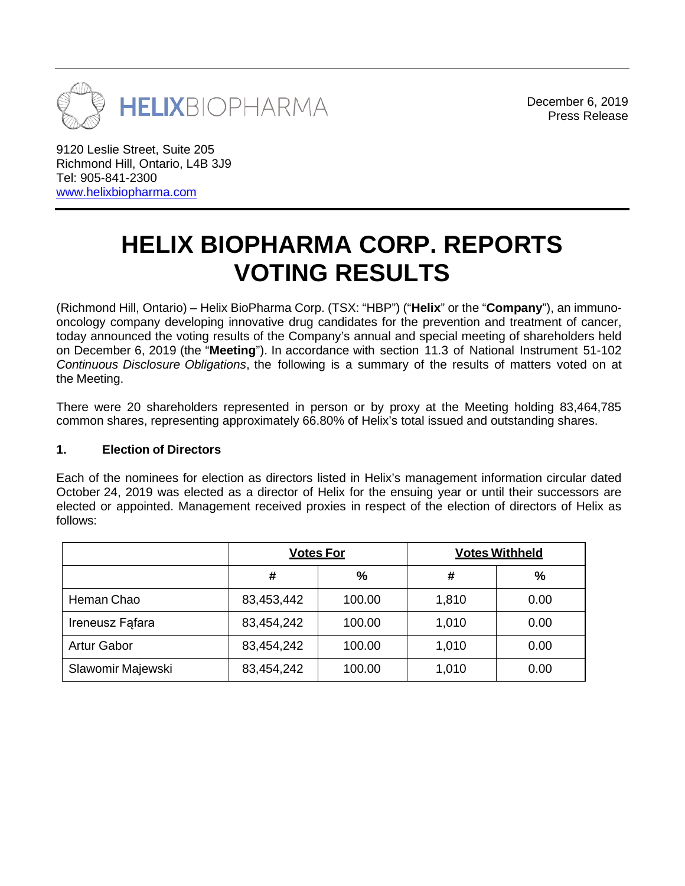

December 6, 2019 Press Release

9120 Leslie Street, Suite 205 Richmond Hill, Ontario, L4B 3J9 Tel: 905-841-2300 [www.helixbiopharma.com](http://www.helixbiopharma.com/)

# **HELIX BIOPHARMA CORP. REPORTS VOTING RESULTS**

(Richmond Hill, Ontario) – Helix BioPharma Corp. (TSX: "HBP") ("**Helix**" or the "**Company**"), an immunooncology company developing innovative drug candidates for the prevention and treatment of cancer, today announced the voting results of the Company's annual and special meeting of shareholders held on December 6, 2019 (the "**Meeting**"). In accordance with section 11.3 of National Instrument 51-102 *Continuous Disclosure Obligations*, the following is a summary of the results of matters voted on at the Meeting.

There were 20 shareholders represented in person or by proxy at the Meeting holding 83,464,785 common shares, representing approximately 66.80% of Helix's total issued and outstanding shares.

#### **1. Election of Directors**

Each of the nominees for election as directors listed in Helix's management information circular dated October 24, 2019 was elected as a director of Helix for the ensuing year or until their successors are elected or appointed. Management received proxies in respect of the election of directors of Helix as follows:

|                    | <b>Votes For</b> |        | <b>Votes Withheld</b> |      |
|--------------------|------------------|--------|-----------------------|------|
|                    | #                | %      | #                     | %    |
| Heman Chao         | 83,453,442       | 100.00 | 1,810                 | 0.00 |
| Ireneusz Fafara    | 83,454,242       | 100.00 | 1,010                 | 0.00 |
| <b>Artur Gabor</b> | 83,454,242       | 100.00 | 1,010                 | 0.00 |
| Slawomir Majewski  | 83,454,242       | 100.00 | 1,010                 | 0.00 |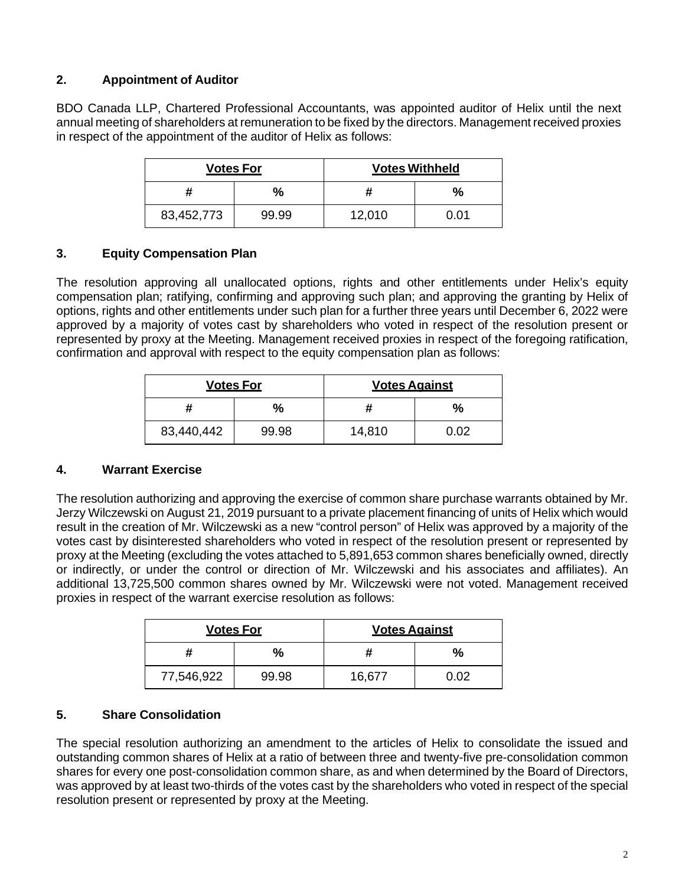# **2. Appointment of Auditor**

BDO Canada LLP, Chartered Professional Accountants, was appointed auditor of Helix until the next annual meeting of shareholders at remuneration to be fixed by the directors. Management received proxies in respect of the appointment of the auditor of Helix as follows:

| <b>Votes For</b> |       | <b>Votes Withheld</b> |               |  |
|------------------|-------|-----------------------|---------------|--|
|                  | %     |                       | $\frac{1}{2}$ |  |
| 83,452,773       | 99.99 | 12,010                | ი ი1          |  |

## **3. Equity Compensation Plan**

The resolution approving all unallocated options, rights and other entitlements under Helix's equity compensation plan; ratifying, confirming and approving such plan; and approving the granting by Helix of options, rights and other entitlements under such plan for a further three years until December 6, 2022 were approved by a majority of votes cast by shareholders who voted in respect of the resolution present or represented by proxy at the Meeting. Management received proxies in respect of the foregoing ratification, confirmation and approval with respect to the equity compensation plan as follows:

|            | <b>Votes For</b> | <b>Votes Against</b> |      |  |
|------------|------------------|----------------------|------|--|
|            | %                |                      | %    |  |
| 83,440,442 | 99.98            | 14,810               | 0.02 |  |

## **4. Warrant Exercise**

The resolution authorizing and approving the exercise of common share purchase warrants obtained by Mr. Jerzy Wilczewski on August 21, 2019 pursuant to a private placement financing of units of Helix which would result in the creation of Mr. Wilczewski as a new "control person" of Helix was approved by a majority of the votes cast by disinterested shareholders who voted in respect of the resolution present or represented by proxy at the Meeting (excluding the votes attached to 5,891,653 common shares beneficially owned, directly or indirectly, or under the control or direction of Mr. Wilczewski and his associates and affiliates). An additional 13,725,500 common shares owned by Mr. Wilczewski were not voted. Management received proxies in respect of the warrant exercise resolution as follows:

| <b>Votes For</b> |       | <b>Votes Against</b> |      |  |
|------------------|-------|----------------------|------|--|
|                  | %     |                      | $\%$ |  |
| 77,546,922       | 99.98 | 16 677               | በ በ2 |  |

## **5. Share Consolidation**

The special resolution authorizing an amendment to the articles of Helix to consolidate the issued and outstanding common shares of Helix at a ratio of between three and twenty-five pre-consolidation common shares for every one post-consolidation common share, as and when determined by the Board of Directors, was approved by at least two-thirds of the votes cast by the shareholders who voted in respect of the special resolution present or represented by proxy at the Meeting.